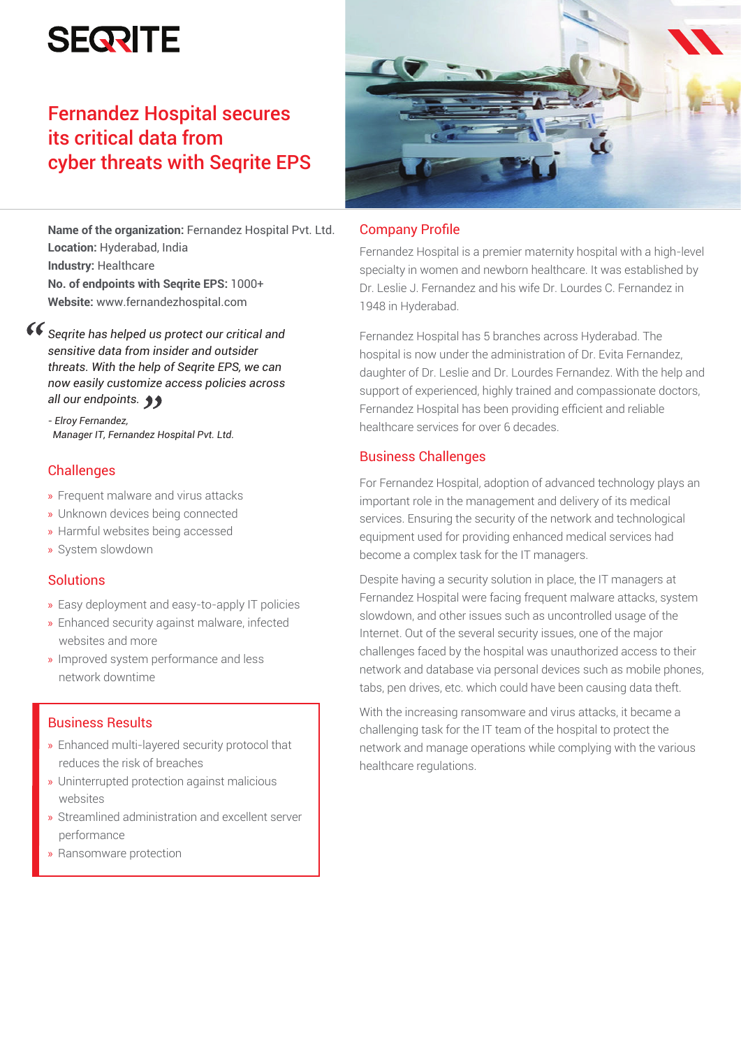# **SEQRITE**

## Fernandez Hospital secures its critical data from cyber threats with Seqrite EPS

**Name of the organization:** Fernandez Hospital Pvt. Ltd. **Location:** Hyderabad, India **Industry: Healthcare No. of endpoints with Seqrite EPS:** 1000+ **Website:** www.fernandezhospital.com

*Seqrite has helped us protect our critical and sensitive data from insider and outsider threats. With the help of Seqrite EPS, we can now easily customize access policies across all our endpoints.*

*- Elroy Fernandez, Manager IT, Fernandez Hospital Pvt. Ltd.*

## **Challenges**

- » Frequent malware and virus attacks
- » Unknown devices being connected
- » Harmful websites being accessed
- » System slowdown

## **Solutions**

- » Easy deployment and easy-to-apply IT policies
- » Enhanced security against malware, infected websites and more
- » Improved system performance and less network downtime

## Business Results

- » Enhanced multi-layered security protocol that reduces the risk of breaches
- » Uninterrupted protection against malicious websites
- » Streamlined administration and excellent server performance
- » Ransomware protection



## Company Profile

Fernandez Hospital is a premier maternity hospital with a high-level specialty in women and newborn healthcare. It was established by Dr. Leslie J. Fernandez and his wife Dr. Lourdes C. Fernandez in 1948 in Hyderabad.

Fernandez Hospital has 5 branches across Hyderabad. The hospital is now under the administration of Dr. Evita Fernandez, daughter of Dr. Leslie and Dr. Lourdes Fernandez. With the help and support of experienced, highly trained and compassionate doctors, Fernandez Hospital has been providing efficient and reliable healthcare services for over 6 decades.

## Business Challenges

For Fernandez Hospital, adoption of advanced technology plays an important role in the management and delivery of its medical services. Ensuring the security of the network and technological equipment used for providing enhanced medical services had become a complex task for the IT managers.

Despite having a security solution in place, the IT managers at Fernandez Hospital were facing frequent malware attacks, system slowdown, and other issues such as uncontrolled usage of the Internet. Out of the several security issues, one of the major challenges faced by the hospital was unauthorized access to their network and database via personal devices such as mobile phones, tabs, pen drives, etc. which could have been causing data theft.

With the increasing ransomware and virus attacks, it became a challenging task for the IT team of the hospital to protect the network and manage operations while complying with the various healthcare regulations.